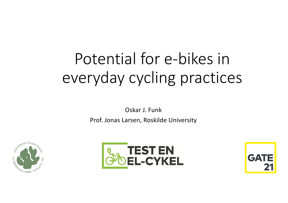# Potential for e-bikes in everyday cycling practices

Oskar J. Funk Prof. Jonas Larsen, Roskilde University





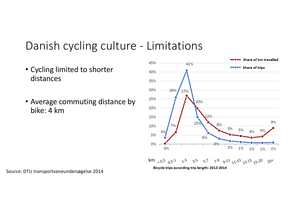#### Danish cycling culture - Limitations

- Cycling limited to shorter distances
- Average commuting distance by bike: 4 km



Source: DTU transportvaneundersøgelse 2014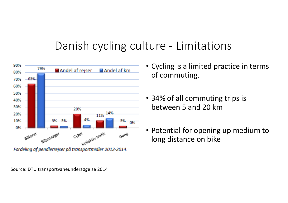## Danish cycling culture - Limitations



Fordeling af pendlerrejser på transportmidler 2012-2014.

Source: DTU transportvaneundersøgelse 2014

- Cycling is a limited practice in terms of commuting.
- 34% of all commuting trips is between 5 and 20 km
- Potential for opening up medium to long distance on bike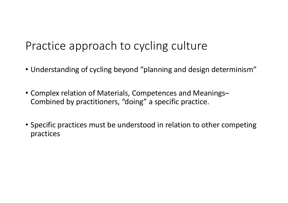# Practice approach to cycling culture

- Understanding of cycling beyond "planning and design determinism"
- Complex relation of Materials, Competences and Meanings– Combined by practitioners, "doing" a specific practice.
- Specific practices must be understood in relation to other competing practices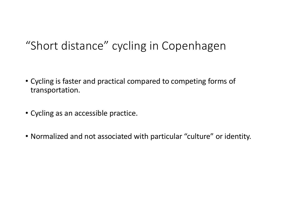# "Short distance" cycling in Copenhagen

- Cycling is faster and practical compared to competing forms of transportation.
- Cycling as an accessible practice.
- Normalized and not associated with particular "culture" or identity.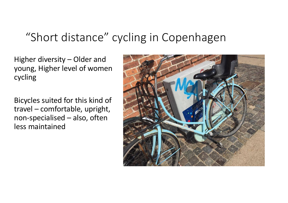# "Short distance" cycling in Copenhagen

Higher diversity  $-$  Older and young, Higher level of women cycling

Bicycles suited for this kind of  $travel$  – comfortable, upright, non-specialised  $-$  also, often less maintained

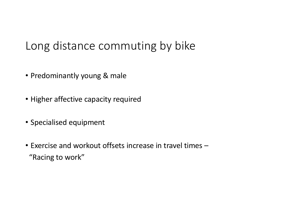# Long distance commuting by bike

- Predominantly young & male
- Higher affective capacity required
- Specialised equipment
- Exercise and workout offsets increase in travel times -"Racing to work"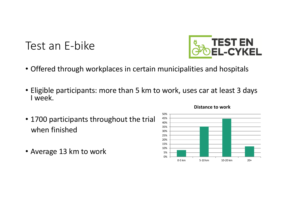Test an E-bike

- Offered through workplaces in certain municipalities and hospitals
- Eligible participants: more than 5 km to work, uses car at least 3 days I week.
- 1700 participants throughout the trial when finished
- Average 13 km to work



#### **Distance to work**

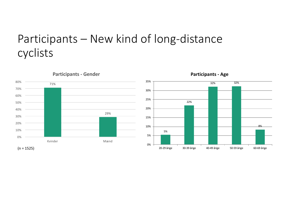# Participants – New kind of long-distance cyclists



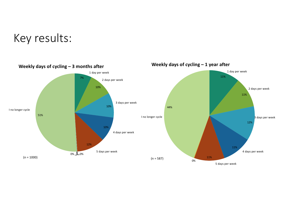#### Key results:



Weekly days of cycling - 1 year after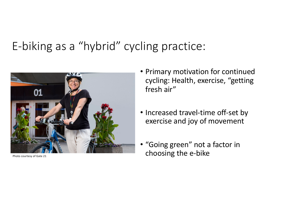# E,biking)as)a)"hybrid")cycling)practice:



- Primary motivation for continued cycling: Health, exercise, "getting fresh air"
- Increased travel-time off-set by exercise and joy of movement
- "Going green" not a factor in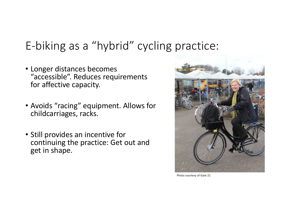# E-biking as a "hybrid" cycling practice:

- Longer distances becomes "accessible". Reduces requirements for affective capacity.
- Avoids "racing" equipment. Allows for childcarriages, racks.
- Still provides an incentive for continuing the practice: Get out and get in shape.



Photo courtesy of Gate 21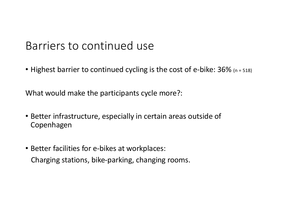#### Barriers to continued use

• Highest barrier to continued cycling is the cost of e-bike:  $36\%$  (n = 518)

What would make the participants cycle more?:

- Better infrastructure, especially in certain areas outside of **Copenhagen**
- Better facilities for e-bikes at workplaces: Charging stations, bike-parking, changing rooms.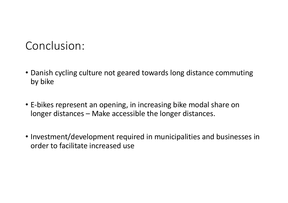# Conclusion:

- Danish cycling culture not geared towards long distance commuting by bike
- E-bikes represent an opening, in increasing bike modal share on longer distances – Make accessible the longer distances.
- Investment/development required in municipalities and businesses in order to facilitate increased use